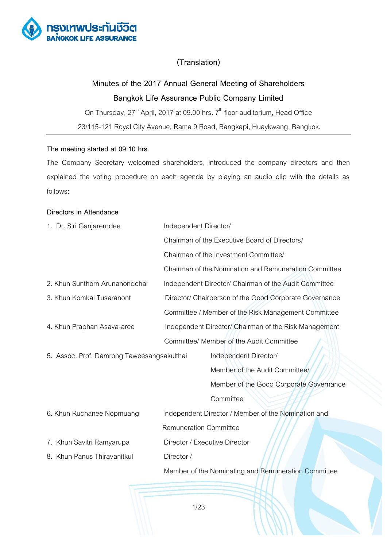

# **(Translation)**

# **Minutes of the 2017 Annual General Meeting of Shareholders Bangkok Life Assurance Public Company Limited**

On Thursday,  $27<sup>th</sup>$  April, 2017 at 09.00 hrs.  $7<sup>th</sup>$  floor auditorium, Head Office 23/115-121 Royal City Avenue, Rama 9 Road, Bangkapi, Huaykwang, Bangkok.

# **The meeting started at 09:10 hrs.**

The Company Secretary welcomed shareholders, introduced the company directors and then explained the voting procedure on each agenda by playing an audio clip with the details as follows:

# **Directors in Attendance**

| 1. Dr. Siri Ganjarerndee                   | Independent Director/                                                                  |                                                        |
|--------------------------------------------|----------------------------------------------------------------------------------------|--------------------------------------------------------|
|                                            | Chairman of the Executive Board of Directors/<br>Chairman of the Investment Committee/ |                                                        |
|                                            |                                                                                        |                                                        |
|                                            |                                                                                        | Chairman of the Nomination and Remuneration Committee  |
| 2. Khun Sunthorn Arunanondchai             |                                                                                        | Independent Director/ Chairman of the Audit Committee  |
| 3. Khun Komkai Tusaranont                  |                                                                                        | Director/ Chairperson of the Good Corporate Governance |
|                                            |                                                                                        | Committee / Member of the Risk Management Committee    |
| 4. Khun Praphan Asava-aree                 |                                                                                        | Independent Director/ Chairman of the Risk Management  |
|                                            |                                                                                        | Committee/ Member of the Audit Committee               |
| 5. Assoc. Prof. Damrong Taweesangsakulthai |                                                                                        | Independent Director/                                  |
|                                            |                                                                                        | Member of the Audit Committee/                         |
|                                            |                                                                                        | Member of the Good Corporate Governance                |
|                                            |                                                                                        | Committee                                              |
| 6. Khun Ruchanee Nopmuang                  |                                                                                        | Independent Director / Member of the Nomination and    |
|                                            | <b>Remuneration Committee</b>                                                          |                                                        |
| 7. Khun Savitri Ramyarupa                  | Director / Executive Director                                                          |                                                        |
| 8. Khun Panus Thiravanitkul                | Director /                                                                             |                                                        |
|                                            |                                                                                        | Member of the Nominating and Remuneration Committee    |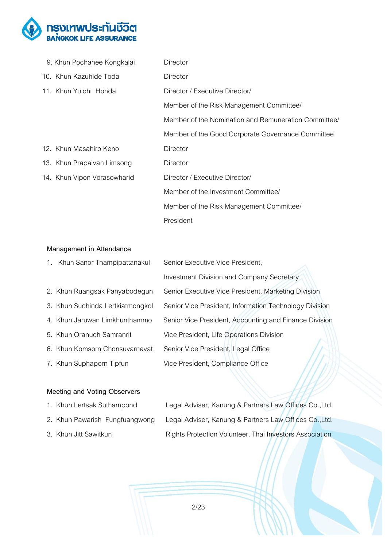

| 9. Khun Pochanee Kongkalai  | Director                                            |
|-----------------------------|-----------------------------------------------------|
| 10. Khun Kazuhide Toda      | Director                                            |
| 11. Khun Yuichi Honda       | Director / Executive Director/                      |
|                             | Member of the Risk Management Committee/            |
|                             | Member of the Nomination and Remuneration Committee |
|                             | Member of the Good Corporate Governance Committee   |
| 12. Khun Masahiro Keno      | Director                                            |
| 13. Khun Prapaivan Limsong  | Director                                            |
| 14. Khun Vipon Vorasowharid | Director / Executive Director/                      |
|                             | Member of the Investment Committee/                 |
|                             | Member of the Risk Management Committee/            |
|                             | President                                           |

# **Management in Attendance**

| 1. Khun Sanor Thampipattanakul   | Senior Executive Vice President,                       |  |
|----------------------------------|--------------------------------------------------------|--|
|                                  | <b>Investment Division and Company Secretary</b>       |  |
| 2. Khun Ruangsak Panyabodegun    | Senior Executive Vice President, Marketing Division    |  |
| 3. Khun Suchinda Lertkiatmongkol | Senior Vice President, Information Technology Division |  |
| 4. Khun Jaruwan Limkhunthammo    | Senior Vice President, Accounting and Finance Division |  |
| 5. Khun Oranuch Samranrit        | Vice President, Life Operations Division               |  |
| 6. Khun Komsorn Chonsuvarnavat   | Senior Vice President, Legal Office                    |  |
| 7. Khun Suphaporn Tipfun         | Vice President, Compliance Office                      |  |

# **Meeting and Voting Observers**

| <b>1. INTUIT LEITSAN JULIAITIPUITU</b> | Legal Adviser, italiang & Familiers Law Onlices Co.,Ltd. |
|----------------------------------------|----------------------------------------------------------|
| 2. Khun Pawarish Fungfuangwong         | Legal Adviser, Kanung & Partners Law Offices Co., Ltd.   |

1. Khun Lertsak Suthampond Legal Adviser, Kanung & Partners Law Offices Co.,Ltd. 3. Khun Jitt Sawitkun **Rights Protection Volunteer, Thai Investors Association**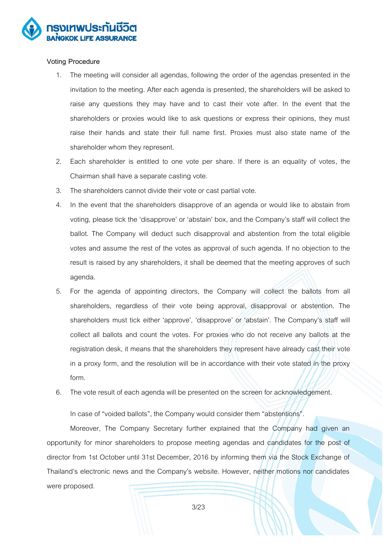

#### **Voting Procedure**

- 1. The meeting will consider all agendas, following the order of the agendas presented in the invitation to the meeting. After each agenda is presented, the shareholders will be asked to raise any questions they may have and to cast their vote after. In the event that the shareholders or proxies would like to ask questions or express their opinions, they must raise their hands and state their full name first. Proxies must also state name of the shareholder whom they represent.
- 2. Each shareholder is entitled to one vote per share. If there is an equality of votes, the Chairman shall have a separate casting vote.
- 3. The shareholders cannot divide their vote or cast partial vote.
- 4. In the event that the shareholders disapprove of an agenda or would like to abstain from voting, please tick the 'disapprove' or 'abstain' box, and the Company's staff will collect the ballot. The Company will deduct such disapproval and abstention from the total eligible votes and assume the rest of the votes as approval of such agenda. If no objection to the result is raised by any shareholders, it shall be deemed that the meeting approves of such agenda.
- 5. For the agenda of appointing directors, the Company will collect the ballots from all shareholders, regardless of their vote being approval, disapproval or abstention. The shareholders must tick either 'approve', 'disapprove' or 'abstain'. The Company's staff will collect all ballots and count the votes. For proxies who do not receive any ballots at the registration desk, it means that the shareholders they represent have already cast their vote in a proxy form, and the resolution will be in accordance with their vote stated in the proxy form.
- 6. The vote result of each agenda will be presented on the screen for acknowledgement.

In case of "voided ballots", the Company would consider them "abstentions".

Moreover, The Company Secretary further explained that the Company had given an opportunity for minor shareholders to propose meeting agendas and candidates for the post of director from 1st October until 31st December, 2016 by informing them via the Stock Exchange of Thailand's electronic news and the Company's website. However, neither motions nor candidates were proposed.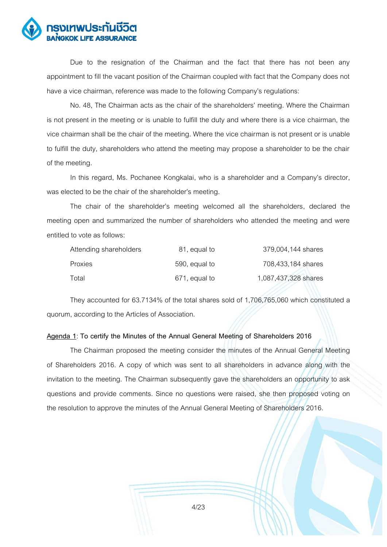

Due to the resignation of the Chairman and the fact that there has not been any appointment to fill the vacant position of the Chairman coupled with fact that the Company does not have a vice chairman, reference was made to the following Company's regulations:

No. 48, The Chairman acts as the chair of the shareholders' meeting. Where the Chairman is not present in the meeting or is unable to fulfill the duty and where there is a vice chairman, the vice chairman shall be the chair of the meeting. Where the vice chairman is not present or is unable to fulfill the duty, shareholders who attend the meeting may propose a shareholder to be the chair of the meeting.

In this regard, Ms. Pochanee Kongkalai, who is a shareholder and a Company's director, was elected to be the chair of the shareholder's meeting.

The chair of the shareholder's meeting welcomed all the shareholders, declared the meeting open and summarized the number of shareholders who attended the meeting and were entitled to vote as follows:

| Attending shareholders | 81, equal to  | 379,004,144 shares   |
|------------------------|---------------|----------------------|
| <b>Proxies</b>         | 590, equal to | 708,433,184 shares   |
| Total                  | 671, equal to | 1,087,437,328 shares |

They accounted for 63.7134% of the total shares sold of 1,706,765,060 which constituted a quorum, according to the Articles of Association.

# **Agenda 1**: **To certify the Minutes of the Annual General Meeting of Shareholders 2016**

The Chairman proposed the meeting consider the minutes of the Annual General Meeting of Shareholders 2016. A copy of which was sent to all shareholders in advance along with the invitation to the meeting. The Chairman subsequently gave the shareholders an opportunity to ask questions and provide comments. Since no questions were raised, she then proposed voting on the resolution to approve the minutes of the Annual General Meeting of Shareholders 2016.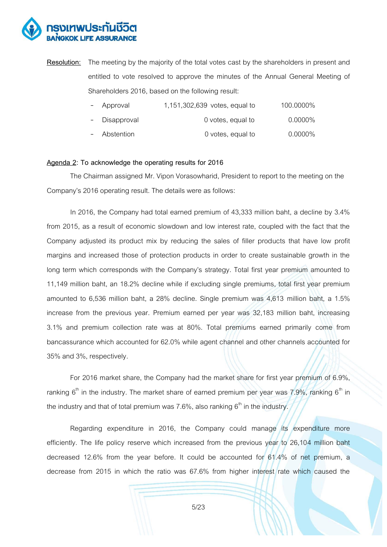

**Resolution:** The meeting by the majority of the total votes cast by the shareholders in present and entitled to vote resolved to approve the minutes of the Annual General Meeting of Shareholders 2016, based on the following result:

| - Approval    | 1,151,302,639 votes, equal to | 100.0000%  |
|---------------|-------------------------------|------------|
| - Disapproval | 0 votes, equal to             | $0.0000\%$ |
| - Abstention  | 0 votes, equal to             | $0.0000\%$ |

#### **Agenda 2: To acknowledge the operating results for 2016**

The Chairman assigned Mr. Vipon Vorasowharid, President to report to the meeting on the Company's 2016 operating result. The details were as follows:

In 2016, the Company had total earned premium of 43,333 million baht, a decline by 3.4% from 2015, as a result of economic slowdown and low interest rate, coupled with the fact that the Company adjusted its product mix by reducing the sales of filler products that have low profit margins and increased those of protection products in order to create sustainable growth in the long term which corresponds with the Company's strategy. Total first year premium amounted to 11,149 million baht, an 18.2% decline while if excluding single premiums, total first year premium amounted to 6,536 million baht, a 28% decline. Single premium was 4,613 million baht, a 1.5% increase from the previous year. Premium earned per year was 32,183 million baht, increasing 3.1% and premium collection rate was at 80%. Total premiums earned primarily come from bancassurance which accounted for 62.0% while agent channel and other channels accounted for 35% and 3%, respectively.

For 2016 market share, the Company had the market share for first year premium of 6.9%, ranking  $6<sup>th</sup>$  in the industry. The market share of earned premium per year was 7.9%, ranking  $6<sup>th</sup>$  in the industry and that of total premium was  $7.6\%$ , also ranking  $6<sup>th</sup>$  in the industry.

Regarding expenditure in 2016, the Company could manage its expenditure more efficiently. The life policy reserve which increased from the previous year to 26,104 million baht decreased 12.6% from the year before. It could be accounted for 61.4% of net premium, a decrease from 2015 in which the ratio was 67.6% from higher interest rate which caused the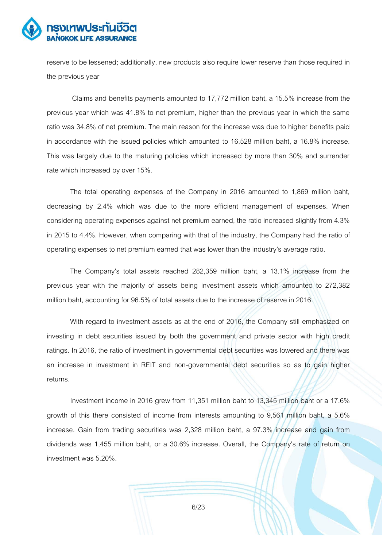

reserve to be lessened; additionally, new products also require lower reserve than those required in the previous year

Claims and benefits payments amounted to 17,772 million baht, a 15.5% increase from the previous year which was 41.8% to net premium, higher than the previous year in which the same ratio was 34.8% of net premium. The main reason for the increase was due to higher benefits paid in accordance with the issued policies which amounted to 16,528 million baht, a 16.8% increase. This was largely due to the maturing policies which increased by more than 30% and surrender rate which increased by over 15%.

The total operating expenses of the Company in 2016 amounted to 1,869 million baht, decreasing by 2.4% which was due to the more efficient management of expenses. When considering operating expenses against net premium earned, the ratio increased slightly from 4.3% in 2015 to 4.4%. However, when comparing with that of the industry, the Company had the ratio of operating expenses to net premium earned that was lower than the industry's average ratio.

The Company's total assets reached 282,359 million baht, a 13.1% increase from the previous year with the majority of assets being investment assets which amounted to 272,382 million baht, accounting for 96.5% of total assets due to the increase of reserve in 2016.

With regard to investment assets as at the end of 2016, the Company still emphasized on investing in debt securities issued by both the government and private sector with high credit ratings. In 2016, the ratio of investment in governmental debt securities was lowered and there was an increase in investment in REIT and non-governmental debt securities so as to gain higher returns.

Investment income in 2016 grew from 11,351 million baht to 13,345 million baht or a 17.6% growth of this there consisted of income from interests amounting to 9,561 million baht, a 5.6% increase. Gain from trading securities was 2,328 million baht, a 97.3% increase and gain from dividends was 1,455 million baht, or a 30.6% increase. Overall, the Company's rate of return on investment was 5.20%.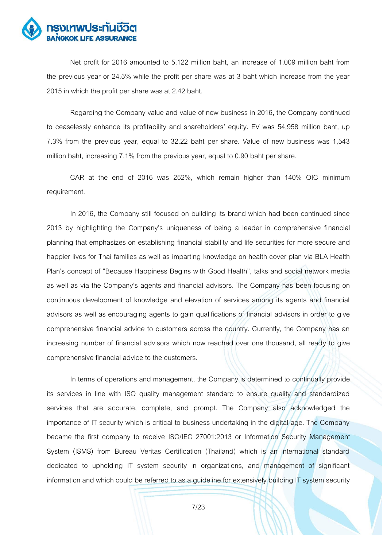

Net profit for 2016 amounted to 5,122 million baht, an increase of 1,009 million baht from the previous year or 24.5% while the profit per share was at 3 baht which increase from the year 2015 in which the profit per share was at 2.42 baht.

Regarding the Company value and value of new business in 2016, the Company continued to ceaselessly enhance its profitability and shareholders' equity. EV was 54,958 million baht, up 7.3% from the previous year, equal to 32.22 baht per share. Value of new business was 1,543 million baht, increasing 7.1% from the previous year, equal to 0.90 baht per share.

CAR at the end of 2016 was 252%, which remain higher than 140% OIC minimum requirement.

In 2016, the Company still focused on building its brand which had been continued since 2013 by highlighting the Company's uniqueness of being a leader in comprehensive financial planning that emphasizes on establishing financial stability and life securities for more secure and happier lives for Thai families as well as imparting knowledge on health cover plan via BLA Health Plan's concept of "Because Happiness Begins with Good Health", talks and social network media as well as via the Company's agents and financial advisors. The Company has been focusing on continuous development of knowledge and elevation of services among its agents and financial advisors as well as encouraging agents to gain qualifications of financial advisors in order to give comprehensive financial advice to customers across the country. Currently, the Company has an increasing number of financial advisors which now reached over one thousand, all ready to give comprehensive financial advice to the customers.

In terms of operations and management, the Company is determined to continually provide its services in line with ISO quality management standard to ensure quality and standardized services that are accurate, complete, and prompt. The Company also acknowledged the importance of IT security which is critical to business undertaking in the digital age. The Company became the first company to receive ISO/IEC 27001:2013 or Information Security Management System (ISMS) from Bureau Veritas Certification (Thailand) which is an international standard dedicated to upholding IT system security in organizations, and management of significant information and which could be referred to as a guideline for extensively building IT system security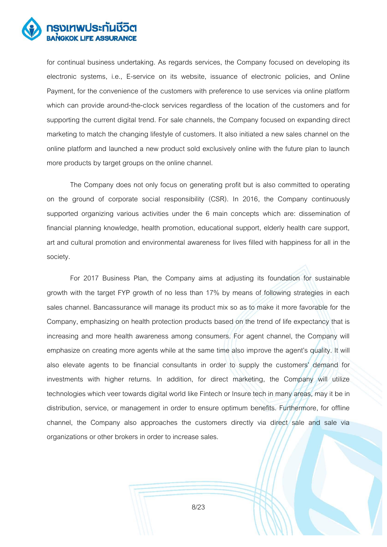

for continual business undertaking. As regards services, the Company focused on developing its electronic systems, i.e., E-service on its website, issuance of electronic policies, and Online Payment, for the convenience of the customers with preference to use services via online platform which can provide around-the-clock services regardless of the location of the customers and for supporting the current digital trend. For sale channels, the Company focused on expanding direct marketing to match the changing lifestyle of customers. It also initiated a new sales channel on the online platform and launched a new product sold exclusively online with the future plan to launch more products by target groups on the online channel.

The Company does not only focus on generating profit but is also committed to operating on the ground of corporate social responsibility (CSR). In 2016, the Company continuously supported organizing various activities under the 6 main concepts which are: dissemination of financial planning knowledge, health promotion, educational support, elderly health care support, art and cultural promotion and environmental awareness for lives filled with happiness for all in the society.

For 2017 Business Plan, the Company aims at adjusting its foundation for sustainable growth with the target FYP growth of no less than 17% by means of following strategies in each sales channel. Bancassurance will manage its product mix so as to make it more favorable for the Company, emphasizing on health protection products based on the trend of life expectancy that is increasing and more health awareness among consumers. For agent channel, the Company will emphasize on creating more agents while at the same time also improve the agent's quality. It will also elevate agents to be financial consultants in order to supply the customers' demand for investments with higher returns. In addition, for direct marketing, the Company will utilize technologies which veer towards digital world like Fintech or Insure tech in many areas, may it be in distribution, service, or management in order to ensure optimum benefits. Furthermore, for offline channel, the Company also approaches the customers directly via direct sale and sale via organizations or other brokers in order to increase sales.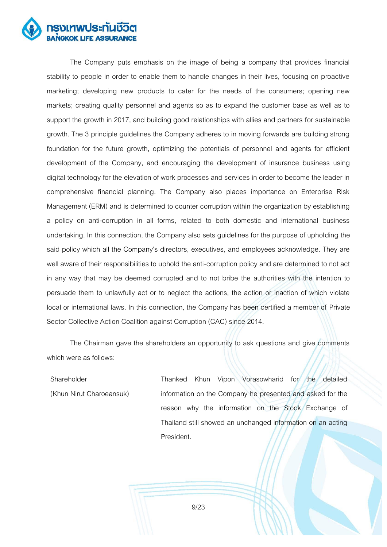

The Company puts emphasis on the image of being a company that provides financial stability to people in order to enable them to handle changes in their lives, focusing on proactive marketing; developing new products to cater for the needs of the consumers; opening new markets; creating quality personnel and agents so as to expand the customer base as well as to support the growth in 2017, and building good relationships with allies and partners for sustainable growth. The 3 principle guidelines the Company adheres to in moving forwards are building strong foundation for the future growth, optimizing the potentials of personnel and agents for efficient development of the Company, and encouraging the development of insurance business using digital technology for the elevation of work processes and services in order to become the leader in comprehensive financial planning. The Company also places importance on Enterprise Risk Management (ERM) and is determined to counter corruption within the organization by establishing a policy on anti-corruption in all forms, related to both domestic and international business undertaking. In this connection, the Company also sets guidelines for the purpose of upholding the said policy which all the Company's directors, executives, and employees acknowledge. They are well aware of their responsibilities to uphold the anti-corruption policy and are determined to not act in any way that may be deemed corrupted and to not bribe the authorities with the intention to persuade them to unlawfully act or to neglect the actions, the action or inaction of which violate local or international laws. In this connection, the Company has been certified a member of Private Sector Collective Action Coalition against Corruption (CAC) since 2014.

The Chairman gave the shareholders an opportunity to ask questions and give comments which were as follows:

Shareholder (Khun Nirut Charoeansuk) Thanked Khun Vipon Vorasowharid for the detailed information on the Company he presented and asked for the reason why the information on the Stock Exchange of Thailand still showed an unchanged information on an acting President.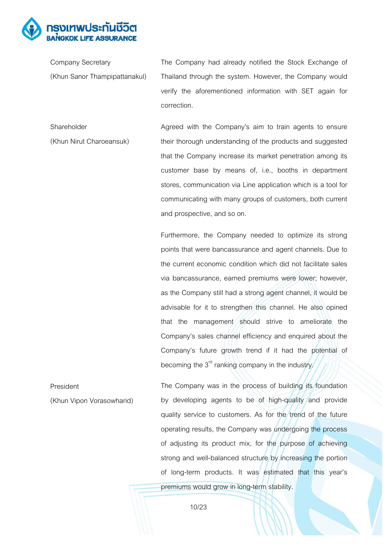

Company Secretary (Khun Sanor Thampipattanakul) The Company had already notified the Stock Exchange of Thailand through the system. However, the Company would verify the aforementioned information with SET again for correction.

Shareholder (Khun Nirut Charoeansuk) Agreed with the Company's aim to train agents to ensure their thorough understanding of the products and suggested that the Company increase its market penetration among its customer base by means of, i.e., booths in department stores, communication via Line application which is a tool for communicating with many groups of customers, both current and prospective, and so on.

> Furthermore, the Company needed to optimize its strong points that were bancassurance and agent channels. Due to the current economic condition which did not facilitate sales via bancassurance, earned premiums were lower; however, as the Company still had a strong agent channel, it would be advisable for it to strengthen this channel. He also opined that the management should strive to ameliorate the Company's sales channel efficiency and enquired about the Company's future growth trend if it had the potential of becoming the  $3<sup>rd</sup>$  ranking company in the industry.

President (Khun Vipon Vorasowharid) The Company was in the process of building its foundation by developing agents to be of high-quality and provide quality service to customers. As for the trend of the future operating results, the Company was undergoing the process of adjusting its product mix, for the purpose of achieving strong and well-balanced structure by increasing the portion of long-term products. It was estimated that this year's premiums would grow in long-term stability.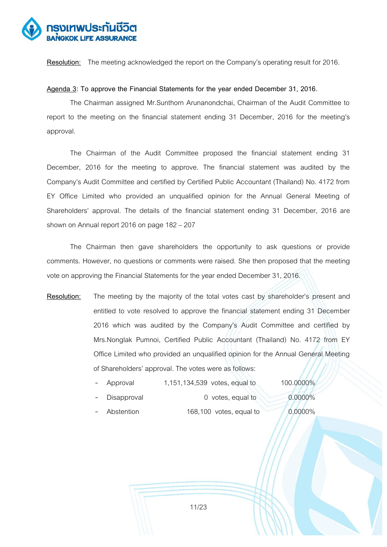

**Resolution:** The meeting acknowledged the report on the Company's operating result for 2016.

# **Agenda 3: To approve the Financial Statements for the year ended December 31, 2016.**

The Chairman assigned Mr.Sunthorn Arunanondchai, Chairman of the Audit Committee to report to the meeting on the financial statement ending 31 December, 2016 for the meeting's approval.

The Chairman of the Audit Committee proposed the financial statement ending 31 December, 2016 for the meeting to approve. The financial statement was audited by the Company's Audit Committee and certified by Certified Public Accountant (Thailand) No. 4172 from EY Office Limited who provided an unqualified opinion for the Annual General Meeting of Shareholders' approval. The details of the financial statement ending 31 December, 2016 are shown on Annual report 2016 on page  $182 - 207$ 

The Chairman then gave shareholders the opportunity to ask questions or provide comments. However, no questions or comments were raised. She then proposed that the meeting vote on approving the Financial Statements for the year ended December 31, 2016.

**Resolution:** The meeting by the majority of the total votes cast by shareholder's present and entitled to vote resolved to approve the financial statement ending 31 December 2016 which was audited by the Company's Audit Committee and certified by Mrs.Nonglak Pumnoi, Certified Public Accountant (Thailand) No. 4172 from EY Office Limited who provided an unqualified opinion for the Annual General Meeting of Shareholders' approval.The votes were as follows:

| - Approval | 1,151,134,539 votes, equal to | 100.0000%     |
|------------|-------------------------------|---------------|
|            |                               | $\frac{1}{2}$ |

- Disapproval 0 votes, equal to 0.0000%
- $-$  Abstention 168,100 votes, equal to  $-$  0.0000%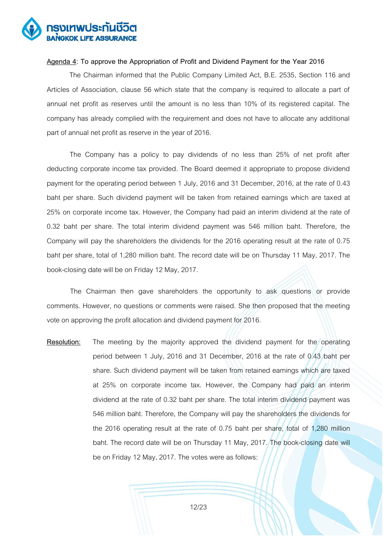

# **Agenda 4: To approve the Appropriation of Profit and Dividend Payment for the Year 2016**

 The Chairman informed that the Public Company Limited Act, B.E. 2535, Section 116 and Articles of Association, clause 56 which state that the company is required to allocate a part of annual net profit as reserves until the amount is no less than 10% of its registered capital. The company has already complied with the requirement and does not have to allocate any additional part of annual net profit as reserve in the year of 2016.

The Company has a policy to pay dividends of no less than 25% of net profit after deducting corporate income tax provided. The Board deemed it appropriate to propose dividend payment for the operating period between 1 July, 2016 and 31 December, 2016, at the rate of 0.43 baht per share. Such dividend payment will be taken from retained earnings which are taxed at 25% on corporate income tax. However, the Company had paid an interim dividend at the rate of 0.32 baht per share. The total interim dividend payment was 546 million baht. Therefore, the Company will pay the shareholders the dividends for the 2016 operating result at the rate of 0.75 baht per share, total of 1,280 million baht. The record date will be on Thursday 11 May, 2017. The book-closing date will be on Friday 12 May, 2017.

The Chairman then gave shareholders the opportunity to ask questions or provide comments. However, no questions or comments were raised. She then proposed that the meeting vote on approving the profit allocation and dividend payment for 2016.

**Resolution:** The meeting by the majority approved the dividend payment for the operating period between 1 July, 2016 and 31 December, 2016 at the rate of 0.43 baht per share. Such dividend payment will be taken from retained earnings which are taxed at 25% on corporate income tax. However, the Company had paid an interim dividend at the rate of 0.32 baht per share. The total interim dividend payment was 546 million baht. Therefore, the Company will pay the shareholders the dividends for the 2016 operating result at the rate of 0.75 baht per share, total of 1,280 million baht. The record date will be on Thursday 11 May, 2017. The book-closing date will be on Friday 12 May, 2017. The votes were as follows: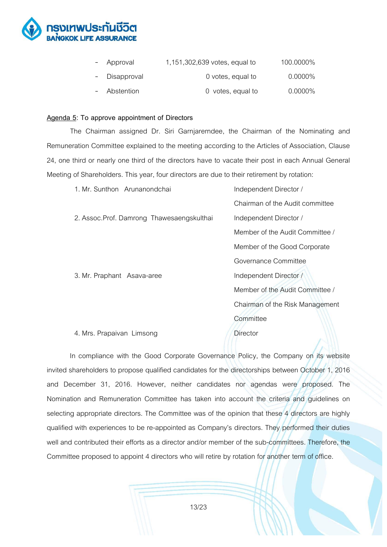

| - Approval    | 1,151,302,639 votes, equal to | 100.0000%  |
|---------------|-------------------------------|------------|
| - Disapproval | 0 votes, equal to             | $0.0000\%$ |
| - Abstention  | 0 votes, equal to             | $0.0000\%$ |

# **Agenda 5: To approve appointment of Directors**

The Chairman assigned Dr. Siri Garnjarerndee, the Chairman of the Nominating and Remuneration Committee explained to the meeting according to the Articles of Association, Clause 24, one third or nearly one third of the directors have to vacate their post in each Annual General Meeting of Shareholders. This year, four directors are due to their retirement by rotation:

| 1. Mr. Sunthon Arunanondchai               | Independent Director /          |  |
|--------------------------------------------|---------------------------------|--|
|                                            | Chairman of the Audit committee |  |
| 2. Assoc. Prof. Damrong Thawesaengskulthai | Independent Director /          |  |
|                                            | Member of the Audit Committee / |  |
|                                            | Member of the Good Corporate    |  |
|                                            | Governance Committee            |  |
| 3. Mr. Praphant Asava-aree                 | Independent Director /          |  |
|                                            | Member of the Audit Committee / |  |
|                                            | Chairman of the Risk Management |  |
|                                            | Committee                       |  |
| 4. Mrs. Prapaivan Limsong                  | Director                        |  |
|                                            |                                 |  |

In compliance with the Good Corporate Governance Policy, the Company on its website invited shareholders to propose qualified candidates for the directorships between October 1, 2016 and December 31, 2016. However, neither candidates nor agendas were proposed. The Nomination and Remuneration Committee has taken into account the criteria and guidelines on selecting appropriate directors. The Committee was of the opinion that these 4 directors are highly qualified with experiences to be re-appointed as Company's directors. They performed their duties well and contributed their efforts as a director and/or member of the sub-committees. Therefore, the Committee proposed to appoint 4 directors who will retire by rotation for another term of office.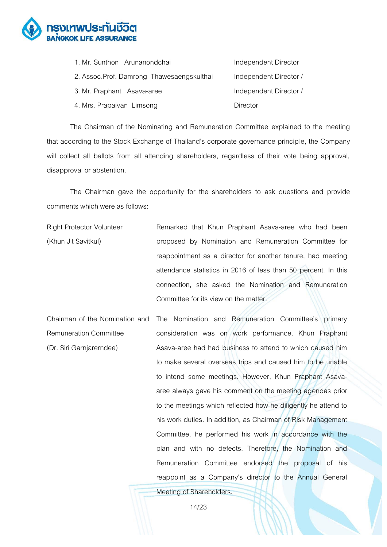

| 1. Mr. Sunthon Arunanondchai               | Independent Director   |
|--------------------------------------------|------------------------|
| 2. Assoc. Prof. Damrong Thawesaengskulthai | Independent Director / |
| 3. Mr. Praphant Asava-aree                 | Independent Director / |
| 4. Mrs. Prapaivan Limsong                  | Director               |

The Chairman of the Nominating and Remuneration Committee explained to the meeting that according to the Stock Exchange of Thailand's corporate governance principle, the Company will collect all ballots from all attending shareholders, regardless of their vote being approval, disapproval or abstention.

The Chairman gave the opportunity for the shareholders to ask questions and provide comments which were as follows:

Right Protector Volunteer (Khun Jit Savitkul) Remarked that Khun Praphant Asava-aree who had been proposed by Nomination and Remuneration Committee for reappointment as a director for another tenure, had meeting attendance statistics in 2016 of less than 50 percent. In this connection, she asked the Nomination and Remuneration Committee for its view on the matter.

Chairman of the Nomination and Remuneration Committee (Dr. Siri Garnjarerndee) The Nomination and Remuneration Committee's primary consideration was on work performance. Khun Praphant Asava-aree had had business to attend to which caused him to make several overseas trips and caused him to be unable to intend some meetings. However, Khun Praphant Asavaaree always gave his comment on the meeting agendas prior to the meetings which reflected how he diligently he attend to his work duties. In addition, as Chairman of Risk Management Committee, he performed his work in accordance with the plan and with no defects. Therefore, the Nomination and Remuneration Committee endorsed the proposal of his reappoint as a Company's director to the Annual General

Meeting of Shareholders.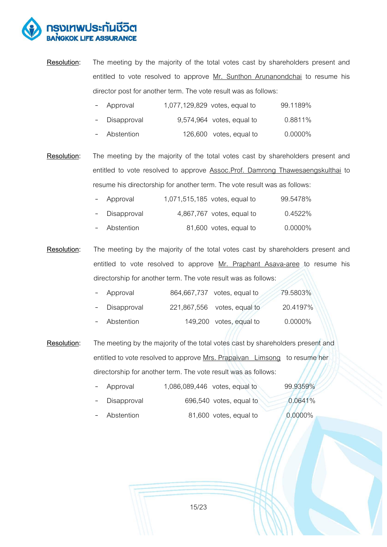

**Resolution:** The meeting by the majority of the total votes cast by shareholders present and entitled to vote resolved to approve Mr. Sunthon Arunanondchai to resume his director post for another term. The vote result was as follows:

| - Approval | 1,077,129,829 votes, equal to | 99.1189% |
|------------|-------------------------------|----------|
|            |                               |          |

- Disapproval 9,574,964 votes, equal to 0.8811%
- Abstention 126,600 votes, equal to 0.0000%

**Resolution:** The meeting by the majority of the total votes cast by shareholders present and entitled to vote resolved to approve **Assoc.Prof. Damrong Thawesaengskulthai** to resume his directorship for another term. The vote result was as follows:

| - Approval    | 1,071,515,185 votes, equal to | 99.5478%   |
|---------------|-------------------------------|------------|
| - Disapproval | 4,867,767 votes, equal to     | 0.4522%    |
| - Abstention  | 81,600 votes, equal to        | $0.0000\%$ |

**Resolution:** The meeting by the majority of the total votes cast by shareholders present and entitled to vote resolved to approve Mr. Praphant Asava-aree to resume his directorship for another term. The vote result was as follows:

| - Approval    | 864,667,737 votes, equal to | 79.5803%   |
|---------------|-----------------------------|------------|
| - Disapproval | 221,867,556 votes, equal to | 20.4197%   |
| - Abstention  | 149,200 votes, equal to     | $0.0000\%$ |

**Resolution:** The meeting by the majority of the total votes cast by shareholders present and entitled to vote resolved to approve Mrs. Prapaivan Limsong to resume her directorship for another term. The vote result was as follows:

- Approval 1,086,089,446 votes, equal to 99.9359%
- Disapproval 696,540 votes, equal to 0.0641%
- Abstention  $81,600$  votes, equal to  $0.0000\%$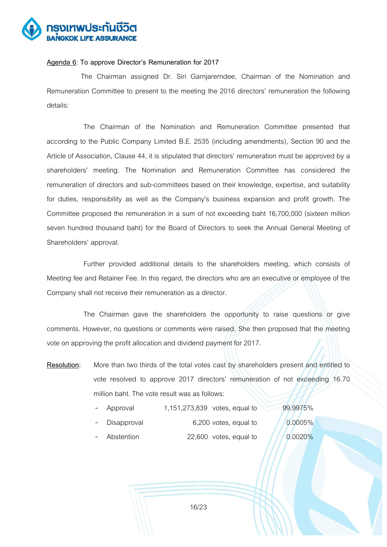

# **Agenda 6**: **To approve Director's Remuneration for 2017**

The Chairman assigned Dr. Siri Garnjarerndee, Chairman of the Nomination and Remuneration Committee to present to the meeting the 2016 directors' remuneration the following details:

The Chairman of the Nomination and Remuneration Committee presented that according to the Public Company Limited B.E. 2535 (including amendments), Section 90 and the Article of Association, Clause 44, it is stipulated that directors' remuneration must be approved by a shareholders' meeting. The Nomination and Remuneration Committee has considered the remuneration of directors and sub-committees based on their knowledge, expertise, and suitability for duties, responsibility as well as the Company's business expansion and profit growth. The Committee proposed the remuneration in a sum of not exceeding baht 16,700,000 (sixteen million seven hundred thousand baht) for the Board of Directors to seek the Annual General Meeting of Shareholders' approval.

Further provided additional details to the shareholders meeting, which consists of Meeting fee and Retainer Fee. In this regard, the directors who are an executive or employee of the Company shall not receive their remuneration as a director.

The Chairman gave the shareholders the opportunity to raise questions or give comments. However, no questions or comments were raised. She then proposed that the meeting vote on approving the profit allocation and dividend payment for 2017.

**Resolution:** More than two thirds of the total votes cast by shareholders present and entitled to vote resolved to approve 2017 directors' remuneration of not exceeding 16.70 million baht. The vote result was as follows:

| - Approval    | 99.9975%<br>1,151,273,839 votes, equal to |  |
|---------------|-------------------------------------------|--|
| - Disapproval | 0.0005%<br>6,200 votes, equal to          |  |
| Abstention    | 22,600 votes, equal to<br>0.0020%         |  |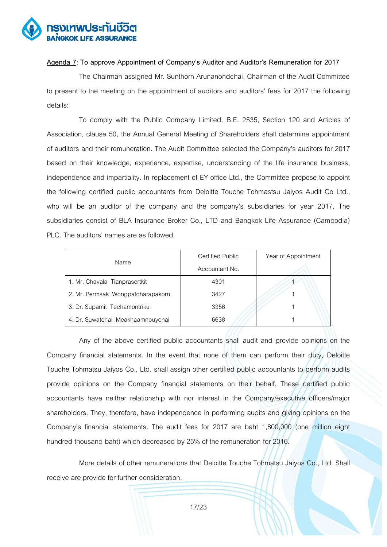

# **Agenda 7**: **To approve Appointment of Company's Auditor and Auditor's Remuneration for 2017**

The Chairman assigned Mr. Sunthorn Arunanondchai, Chairman of the Audit Committee to present to the meeting on the appointment of auditors and auditors' fees for 2017 the following details:

To comply with the Public Company Limited, B.E. 2535, Section 120 and Articles of Association, clause 50, the Annual General Meeting of Shareholders shall determine appointment of auditors and their remuneration. The Audit Committee selected the Company's auditors for 2017 based on their knowledge, experience, expertise, understanding of the life insurance business, independence and impartiality. In replacement of EY office Ltd., the Committee propose to appoint the following certified public accountants from Deloitte Touche Tohmastsu Jaiyos Audit Co Ltd., who will be an auditor of the company and the company's subsidiaries for year 2017. The subsidiaries consist of BLA Insurance Broker Co., LTD and Bangkok Life Assurance (Cambodia) PLC. The auditors' names are as followed.

|                                   | Certified Public | Year of Appointment |
|-----------------------------------|------------------|---------------------|
| Name                              | Accountant No.   |                     |
| 1. Mr. Chavala Tianprasertkit     | 4301             |                     |
| 2. Mr. Permsak Wongpatcharapakorn | 3427             |                     |
| 3. Dr. Supamit Techamontrikul     | 3356             |                     |
| 4. Dr. Suwatchai Meakhaamnouychai | 6638             |                     |

Any of the above certified public accountants shall audit and provide opinions on the Company financial statements. In the event that none of them can perform their duty, Deloitte Touche Tohmatsu Jaiyos Co., Ltd. shall assign other certified public accountants to perform audits provide opinions on the Company financial statements on their behalf. These certified public accountants have neither relationship with nor interest in the Company/executive officers/major shareholders. They, therefore, have independence in performing audits and giving opinions on the Company's financial statements. The audit fees for 2017 are baht 1,800,000 (one million eight hundred thousand baht) which decreased by 25% of the remuneration for 2016.

More details of other remunerations that Deloitte Touche Tohmatsu Jaiyos Co., Ltd. Shall receive are provide for further consideration.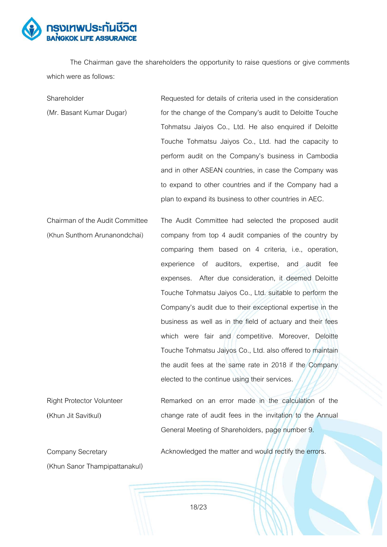

The Chairman gave the shareholders the opportunity to raise questions or give comments which were as follows:

**Shareholder** (Mr. Basant Kumar Dugar) Requested for details of criteria used in the consideration for the change of the Company's audit to Deloitte Touche Tohmatsu Jaiyos Co., Ltd. He also enquired if Deloitte Touche Tohmatsu Jaiyos Co., Ltd. had the capacity to perform audit on the Company's business in Cambodia and in other ASEAN countries, in case the Company was to expand to other countries and if the Company had a plan to expand its business to other countries in AEC.

Chairman of the Audit Committee (Khun Sunthorn Arunanondchai) The Audit Committee had selected the proposed audit company from top 4 audit companies of the country by comparing them based on 4 criteria, i.e., operation, experience of auditors, expertise, and audit fee expenses. After due consideration, it deemed Deloitte Touche Tohmatsu Jaiyos Co., Ltd. suitable to perform the Company's audit due to their exceptional expertise in the business as well as in the field of actuary and their fees which were fair and competitive. Moreover, Deloitte Touche Tohmatsu Jaiyos Co., Ltd. also offered to maintain the audit fees at the same rate in 2018 if the Company elected to the continue using their services.

Right Protector Volunteer (Khun Jit Savitkul) Remarked on an error made in the calculation of the change rate of audit fees in the invitation to the Annual General Meeting of Shareholders, page number 9.

Company Secretary (Khun Sanor Thampipattanakul) Acknowledged the matter and would rectify the errors.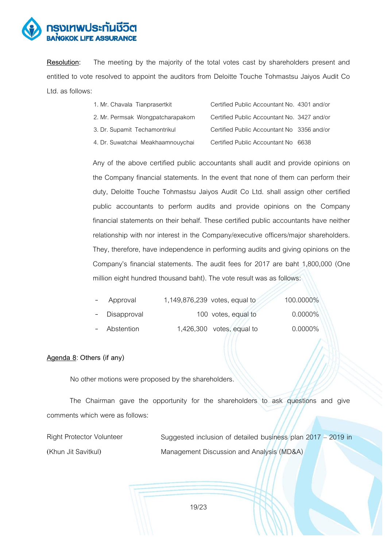

**Resolution:** The meeting by the majority of the total votes cast by shareholders present and entitled to vote resolved to appoint the auditors from Deloitte Touche Tohmastsu Jaiyos Audit Co Ltd.as follows:

| 1. Mr. Chavala Tianprasertkit     | Certified Public Accountant No. 4301 and/or |  |
|-----------------------------------|---------------------------------------------|--|
| 2. Mr. Permsak Wongpatcharapakorn | Certified Public Accountant No. 3427 and/or |  |
| 3. Dr. Supamit Techamontrikul     | Certified Public Accountant No 3356 and/or  |  |
| 4. Dr. Suwatchai Meakhaamnouychai | Certified Public Accountant No 6638         |  |

Any of the above certified public accountants shall audit and provide opinions on the Company financial statements. In the event that none of them can perform their duty, Deloitte Touche Tohmastsu Jaiyos Audit Co Ltd. shall assign other certified public accountants to perform audits and provide opinions on the Company financial statements on their behalf. These certified public accountants have neither relationship with nor interest in the Company/executive officers/major shareholders. They, therefore, have independence in performing audits and giving opinions on the Company's financial statements. The audit fees for 2017 are baht 1,800,000 (One million eight hundred thousand baht). The vote result was as follows:

| - Approval    | 1,149,876,239 votes, equal to | 100.0000%  |
|---------------|-------------------------------|------------|
| - Disapproval | 100 votes, equal to           | $0.0000\%$ |
| - Abstention  | $1,426,300$ votes, equal to   | $0.0000\%$ |

# **Agenda 8**: **Others (if any)**

No other motions were proposed by the shareholders.

The Chairman gave the opportunity for the shareholders to ask questions and give comments which were as follows:

Right Protector Volunteer (Khun Jit Savitkul)

Suggested inclusion of detailed business plan 2017 – 2019 in Management Discussion and Analysis (MD&A)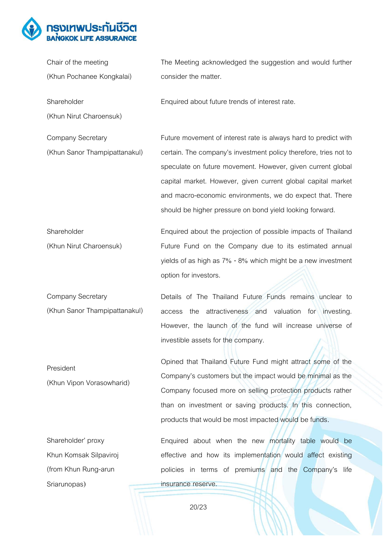

| Chair of the meeting                                      | The Meeting acknowledged the suggestion and would further                                                                                                                                                                                                                                                                                                                                   |
|-----------------------------------------------------------|---------------------------------------------------------------------------------------------------------------------------------------------------------------------------------------------------------------------------------------------------------------------------------------------------------------------------------------------------------------------------------------------|
| (Khun Pochanee Kongkalai)                                 | consider the matter.                                                                                                                                                                                                                                                                                                                                                                        |
| Shareholder                                               | Enquired about future trends of interest rate.                                                                                                                                                                                                                                                                                                                                              |
| (Khun Nirut Charoensuk)                                   |                                                                                                                                                                                                                                                                                                                                                                                             |
| <b>Company Secretary</b><br>(Khun Sanor Thampipattanakul) | Future movement of interest rate is always hard to predict with<br>certain. The company's investment policy therefore, tries not to<br>speculate on future movement. However, given current global<br>capital market. However, given current global capital market<br>and macro-economic environments, we do expect that. There<br>should be higher pressure on bond yield looking forward. |
| Shareholder<br>(Khun Nirut Charoensuk)                    | Enquired about the projection of possible impacts of Thailand<br>Future Fund on the Company due to its estimated annual<br>yields of as high as 7% - 8% which might be a new investment<br>option for investors.                                                                                                                                                                            |
| <b>Company Secretary</b>                                  | Details of The Thailand Future Funds remains unclear to                                                                                                                                                                                                                                                                                                                                     |
| (Khun Sanor Thampipattanakul)                             | attractiveness and valuation for investing.<br>access<br>the<br>However, the launch of the fund will increase universe of<br>investible assets for the company.                                                                                                                                                                                                                             |
| President<br>(Khun Vipon Vorasowharid)                    | Opined that Thailand Future Fund might attract some of the<br>Company's customers but the impact would be minimal as the<br>Company focused more on selling protection products rather<br>than on investment or saving products. In this connection,<br>products that would be most impacted would be funds.                                                                                |
| Shareholder' proxy                                        | Enquired about when the new mortality table would be                                                                                                                                                                                                                                                                                                                                        |
| Khun Komsak Silpaviroj                                    | effective and how its implementation would affect existing                                                                                                                                                                                                                                                                                                                                  |
| (from Khun Rung-arun                                      | policies in terms of premiums and the Company's life                                                                                                                                                                                                                                                                                                                                        |
| Sriarunopas)                                              | insurance reserve.                                                                                                                                                                                                                                                                                                                                                                          |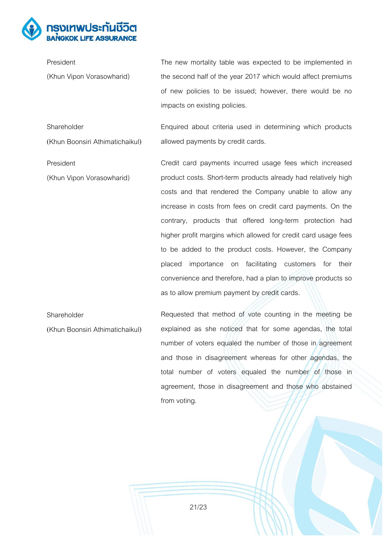

President (Khun Vipon Vorasowharid) The new mortality table was expected to be implemented in the second half of the year 2017 which would affect premiums of new policies to be issued; however, there would be no impacts on existing policies.

Shareholder (Khun Boonsiri Athimatichaikul) Enquired about criteria used in determining which products allowed payments by credit cards.

President

(Khun Vipon Vorasowharid)

Credit card payments incurred usage fees which increased product costs. Short-term products already had relatively high costs and that rendered the Company unable to allow any increase in costs from fees on credit card payments. On the contrary, products that offered long-term protection had higher profit margins which allowed for credit card usage fees to be added to the product costs. However, the Company placed importance on facilitating customers for their convenience and therefore, had a plan to improve products so as to allow premium payment by credit cards.

Shareholder (Khun Boonsiri Athimatichaikul) Requested that method of vote counting in the meeting be explained as she noticed that for some agendas, the total number of voters equaled the number of those in agreement and those in disagreement whereas for other agendas, the total number of voters equaled the number of those in agreement, those in disagreement and those who abstained from voting.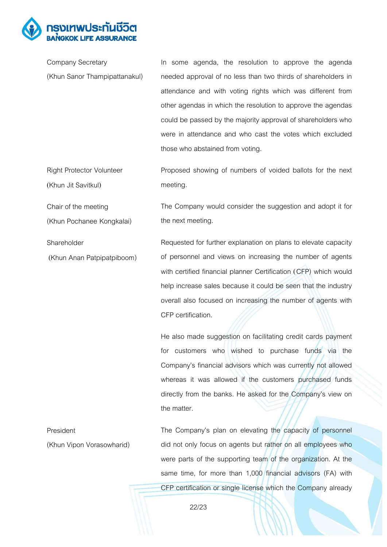

(Khun Jit Savitkul)

Chair of the meeting

(Khun Pochanee Kongkalai)

Company Secretary (Khun Sanor Thampipattanakul) In some agenda, the resolution to approve the agenda needed approval of no less than two thirds of shareholders in attendance and with voting rights which was different from other agendas in which the resolution to approve the agendas could be passed by the majority approval of shareholders who were in attendance and who cast the votes which excluded those who abstained from voting.

Right Protector Volunteer Proposed showing of numbers of voided ballots for the next meeting.

> The Company would consider the suggestion and adopt it for the next meeting.

Shareholder (Khun Anan Patpipatpiboom) Requested for further explanation on plans to elevate capacity of personnel and views on increasing the number of agents with certified financial planner Certification (CFP) which would help increase sales because it could be seen that the industry overall also focused on increasing the number of agents with CFP certification.

> He also made suggestion on facilitating credit cards payment for customers who wished to purchase funds via the Company's financial advisors which was currently not allowed whereas it was allowed if the customers purchased funds directly from the banks. He asked for the Company's view on the matter.

President (Khun Vipon Vorasowharid) The Company's plan on elevating the capacity of personnel did not only focus on agents but rather on all employees who were parts of the supporting team of the organization. At the same time, for more than 1,000 financial advisors (FA) with CFP certification or single license which the Company already